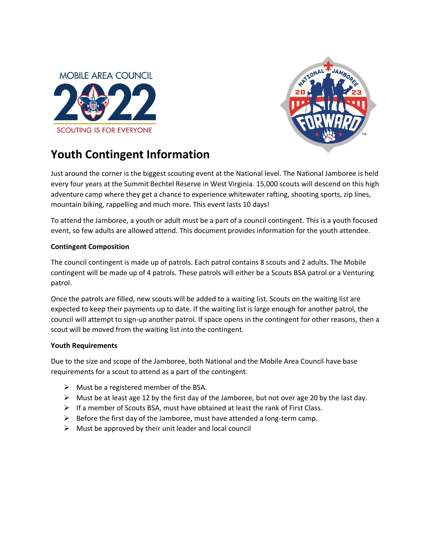



# **Youth Contingent Information**

Just around the corner is the biggest scouting event at the National level. The National Jamboree is held every four years at the Summit Bechtel Reserve in West Virginia. 15,000 scouts will descend on this high adventure camp where they get a chance to experience whitewater rafting, shooting sports, zip lines, mountain biking, rappelling and much more. This event lasts 10 days!

To attend the Jamboree, a youth or adult must be a part of a council contingent. This is a youth focused event, so few adults are allowed attend. This document provides information for the youth attendee.

### **Contingent Composition**

The council contingent is made up of patrols. Each patrol contains 8 scouts and 2 adults. The Mobile contingent will be made up of 4 patrols. These patrols will either be a Scouts BSA patrol or a Venturing patrol.

Once the patrols are filled, new scouts will be added to a waiting list. Scouts on the waiting list are expected to keep their payments up to date. If the waiting list is large enough for another patrol, the council will attempt to sign-up another patrol. If space opens in the contingent for other reasons, then a scout will be moved from the waiting list into the contingent.

### **Youth Requirements**

Due to the size and scope of the Jamboree, both National and the Mobile Area Council have base requirements for a scout to attend as a part of the contingent.

- $\triangleright$  Must be a registered member of the BSA.
- $\triangleright$  Must be at least age 12 by the first day of the Jamboree, but not over age 20 by the last day.
- ➢ If a member of Scouts BSA, must have obtained at least the rank of First Class.
- $\triangleright$  Before the first day of the Jamboree, must have attended a long-term camp.
- $\triangleright$  Must be approved by their unit leader and local council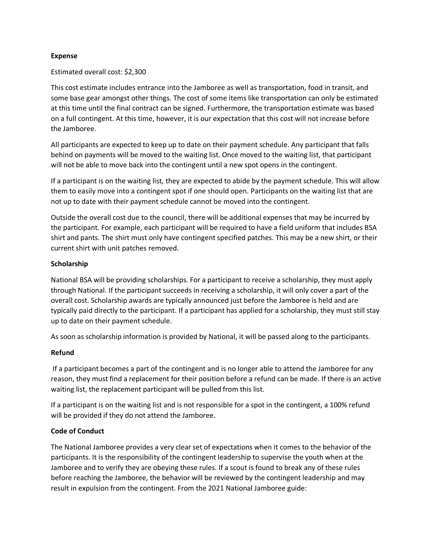#### **Expense**

#### Estimated overall cost: \$2,300

This cost estimate includes entrance into the Jamboree as well as transportation, food in transit, and some base gear amongst other things. The cost of some items like transportation can only be estimated at this time until the final contract can be signed. Furthermore, the transportation estimate was based on a full contingent. At this time, however, it is our expectation that this cost will not increase before the Jamboree.

All participants are expected to keep up to date on their payment schedule. Any participant that falls behind on payments will be moved to the waiting list. Once moved to the waiting list, that participant will not be able to move back into the contingent until a new spot opens in the contingent.

If a participant is on the waiting list, they are expected to abide by the payment schedule. This will allow them to easily move into a contingent spot if one should open. Participants on the waiting list that are not up to date with their payment schedule cannot be moved into the contingent.

Outside the overall cost due to the council, there will be additional expenses that may be incurred by the participant. For example, each participant will be required to have a field uniform that includes BSA shirt and pants. The shirt must only have contingent specified patches. This may be a new shirt, or their current shirt with unit patches removed.

### **Scholarship**

National BSA will be providing scholarships. For a participant to receive a scholarship, they must apply through National. If the participant succeeds in receiving a scholarship, it will only cover a part of the overall cost. Scholarship awards are typically announced just before the Jamboree is held and are typically paid directly to the participant. If a participant has applied for a scholarship, they must still stay up to date on their payment schedule.

As soon as scholarship information is provided by National, it will be passed along to the participants.

#### **Refund**

If a participant becomes a part of the contingent and is no longer able to attend the Jamboree for any reason, they must find a replacement for their position before a refund can be made. If there is an active waiting list, the replacement participant will be pulled from this list.

If a participant is on the waiting list and is not responsible for a spot in the contingent, a 100% refund will be provided if they do not attend the Jamboree.

### **Code of Conduct**

The National Jamboree provides a very clear set of expectations when it comes to the behavior of the participants. It is the responsibility of the contingent leadership to supervise the youth when at the Jamboree and to verify they are obeying these rules. If a scout is found to break any of these rules before reaching the Jamboree, the behavior will be reviewed by the contingent leadership and may result in expulsion from the contingent. From the 2021 National Jamboree guide: